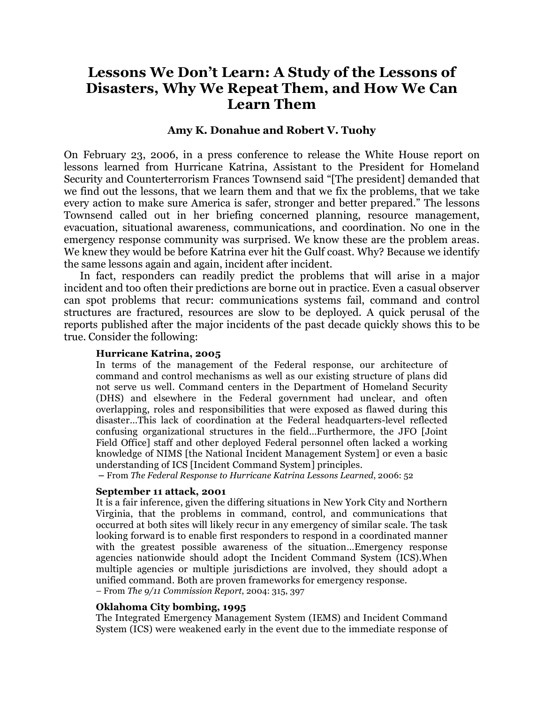# **Lessons We Don't Learn: A Study of the Lessons of Disasters, Why We Repeat Them, and How We Can Learn Them**

### **Amy K. Donahue and Robert V. Tuohy**

On February 23, 2006, in a press conference to release the White House report on lessons learned from Hurricane Katrina, Assistant to the President for Homeland Security and Counterterrorism Frances Townsend said "[The president] demanded that we find out the lessons, that we learn them and that we fix the problems, that we take every action to make sure America is safer, stronger and better prepared." The lessons Townsend called out in her briefing concerned planning, resource management, evacuation, situational awareness, communications, and coordination. No one in the emergency response community was surprised. We know these are the problem areas. We knew they would be before Katrina ever hit the Gulf coast. Why? Because we identify the same lessons again and again, incident after incident.

In fact, responders can readily predict the problems that will arise in a major incident and too often their predictions are borne out in practice. Even a casual observer can spot problems that recur: communications systems fail, command and control structures are fractured, resources are slow to be deployed. A quick perusal of the reports published after the major incidents of the past decade quickly shows this to be true. Consider the following:

#### **Hurricane Katrina, 2005**

In terms of the management of the Federal response, our architecture of command and control mechanisms as well as our existing structure of plans did not serve us well. Command centers in the Department of Homeland Security (DHS) and elsewhere in the Federal government had unclear, and often overlapping, roles and responsibilities that were exposed as flawed during this disaster…This lack of coordination at the Federal headquarters-level reflected confusing organizational structures in the field…Furthermore, the JFO [Joint Field Office] staff and other deployed Federal personnel often lacked a working knowledge of NIMS [the National Incident Management System] or even a basic understanding of ICS [Incident Command System] principles.

**–** From *The Federal Response to Hurricane Katrina Lessons Learned*, 2006: 52

### **September 11 attack, 2001**

It is a fair inference, given the differing situations in New York City and Northern Virginia, that the problems in command, control, and communications that occurred at both sites will likely recur in any emergency of similar scale. The task looking forward is to enable first responders to respond in a coordinated manner with the greatest possible awareness of the situation…Emergency response agencies nationwide should adopt the Incident Command System (ICS).When multiple agencies or multiple jurisdictions are involved, they should adopt a unified command. Both are proven frameworks for emergency response.

– From *The 9/11 Commission Report*, 2004: 315, 397

# **Oklahoma City bombing, 1995**

The Integrated Emergency Management System (IEMS) and Incident Command System (ICS) were weakened early in the event due to the immediate response of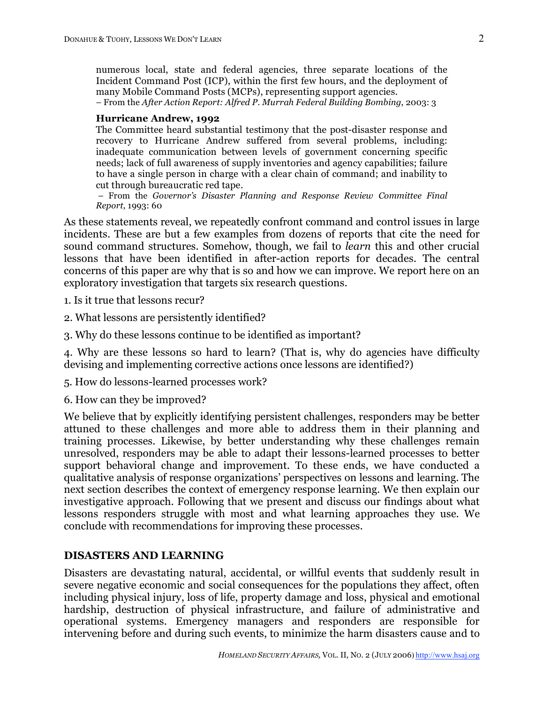numerous local, state and federal agencies, three separate locations of the Incident Command Post (ICP), within the first few hours, and the deployment of many Mobile Command Posts (MCPs), representing support agencies.

– From the *After Action Report: Alfred P. Murrah Federal Building Bombing*, 2003: 3

#### **Hurricane Andrew, 1992**

The Committee heard substantial testimony that the post-disaster response and recovery to Hurricane Andrew suffered from several problems, including: inadequate communication between levels of government concerning specific needs; lack of full awareness of supply inventories and agency capabilities; failure to have a single person in charge with a clear chain of command; and inability to cut through bureaucratic red tape.

– From the *Governor's Disaster Planning and Response Review Committee Final Report*, 1993: 60

As these statements reveal, we repeatedly confront command and control issues in large incidents. These are but a few examples from dozens of reports that cite the need for sound command structures. Somehow, though, we fail to *learn* this and other crucial lessons that have been identified in after-action reports for decades. The central concerns of this paper are why that is so and how we can improve. We report here on an exploratory investigation that targets six research questions.

1. Is it true that lessons recur?

- 2. What lessons are persistently identified?
- 3. Why do these lessons continue to be identified as important?

4. Why are these lessons so hard to learn? (That is, why do agencies have difficulty devising and implementing corrective actions once lessons are identified?)

5. How do lessons-learned processes work?

6. How can they be improved?

We believe that by explicitly identifying persistent challenges, responders may be better attuned to these challenges and more able to address them in their planning and training processes. Likewise, by better understanding why these challenges remain unresolved, responders may be able to adapt their lessons-learned processes to better support behavioral change and improvement. To these ends, we have conducted a qualitative analysis of response organizations' perspectives on lessons and learning. The next section describes the context of emergency response learning. We then explain our investigative approach. Following that we present and discuss our findings about what lessons responders struggle with most and what learning approaches they use. We conclude with recommendations for improving these processes.

### **DISASTERS AND LEARNING**

Disasters are devastating natural, accidental, or willful events that suddenly result in severe negative economic and social consequences for the populations they affect, often including physical injury, loss of life, property damage and loss, physical and emotional hardship, destruction of physical infrastructure, and failure of administrative and operational systems. Emergency managers and responders are responsible for intervening before and during such events, to minimize the harm disasters cause and to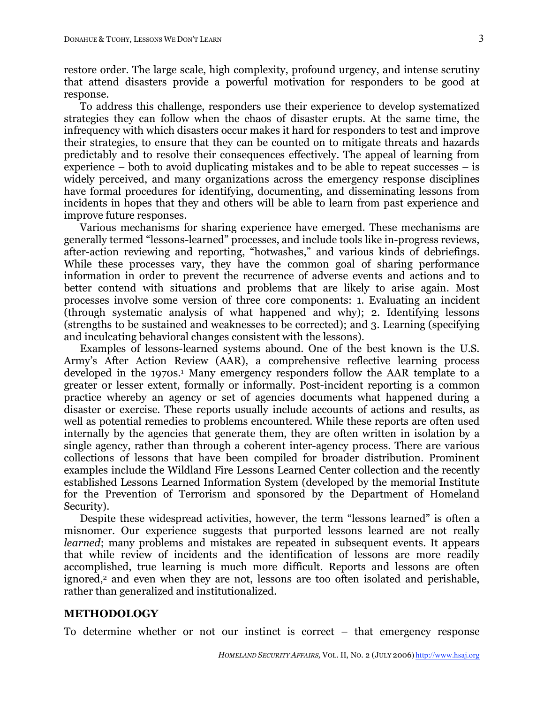restore order. The large scale, high complexity, profound urgency, and intense scrutiny that attend disasters provide a powerful motivation for responders to be good at response.

To address this challenge, responders use their experience to develop systematized strategies they can follow when the chaos of disaster erupts. At the same time, the infrequency with which disasters occur makes it hard for responders to test and improve their strategies, to ensure that they can be counted on to mitigate threats and hazards predictably and to resolve their consequences effectively. The appeal of learning from experience – both to avoid duplicating mistakes and to be able to repeat successes – is widely perceived, and many organizations across the emergency response disciplines have formal procedures for identifying, documenting, and disseminating lessons from incidents in hopes that they and others will be able to learn from past experience and improve future responses.

Various mechanisms for sharing experience have emerged. These mechanisms are generally termed "lessons-learned" processes, and include tools like in-progress reviews, after-action reviewing and reporting, "hotwashes," and various kinds of debriefings. While these processes vary, they have the common goal of sharing performance information in order to prevent the recurrence of adverse events and actions and to better contend with situations and problems that are likely to arise again. Most processes involve some version of three core components: 1. Evaluating an incident (through systematic analysis of what happened and why); 2. Identifying lessons (strengths to be sustained and weaknesses to be corrected); and 3. Learning (specifying and inculcating behavioral changes consistent with the lessons).

Examples of lessons-learned systems abound. One of the best known is the U.S. Army's After Action Review (AAR), a comprehensive reflective learning process developed in the 1970s.<sup>1</sup> Many emergency responders follow the AAR template to a greater or lesser extent, formally or informally. Post-incident reporting is a common practice whereby an agency or set of agencies documents what happened during a disaster or exercise. These reports usually include accounts of actions and results, as well as potential remedies to problems encountered. While these reports are often used internally by the agencies that generate them, they are often written in isolation by a single agency, rather than through a coherent inter-agency process. There are various collections of lessons that have been compiled for broader distribution. Prominent examples include the Wildland Fire Lessons Learned Center collection and the recently established Lessons Learned Information System (developed by the memorial Institute for the Prevention of Terrorism and sponsored by the Department of Homeland Security).

Despite these widespread activities, however, the term "lessons learned" is often a misnomer. Our experience suggests that purported lessons learned are not really *learned*; many problems and mistakes are repeated in subsequent events. It appears that while review of incidents and the identification of lessons are more readily accomplished, true learning is much more difficult. Reports and lessons are often ignored,<sup>2</sup> and even when they are not, lessons are too often isolated and perishable, rather than generalized and institutionalized.

#### **METHODOLOGY**

To determine whether or not our instinct is correct – that emergency response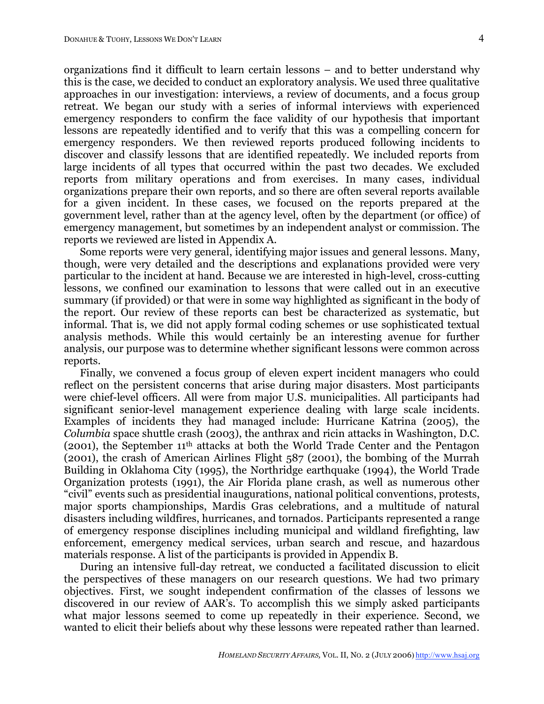organizations find it difficult to learn certain lessons – and to better understand why this is the case, we decided to conduct an exploratory analysis. We used three qualitative approaches in our investigation: interviews, a review of documents, and a focus group retreat. We began our study with a series of informal interviews with experienced emergency responders to confirm the face validity of our hypothesis that important lessons are repeatedly identified and to verify that this was a compelling concern for emergency responders. We then reviewed reports produced following incidents to discover and classify lessons that are identified repeatedly. We included reports from large incidents of all types that occurred within the past two decades. We excluded reports from military operations and from exercises. In many cases, individual organizations prepare their own reports, and so there are often several reports available for a given incident. In these cases, we focused on the reports prepared at the government level, rather than at the agency level, often by the department (or office) of emergency management, but sometimes by an independent analyst or commission. The reports we reviewed are listed in Appendix A.

Some reports were very general, identifying major issues and general lessons. Many, though, were very detailed and the descriptions and explanations provided were very particular to the incident at hand. Because we are interested in high-level, cross-cutting lessons, we confined our examination to lessons that were called out in an executive summary (if provided) or that were in some way highlighted as significant in the body of the report. Our review of these reports can best be characterized as systematic, but informal. That is, we did not apply formal coding schemes or use sophisticated textual analysis methods. While this would certainly be an interesting avenue for further analysis, our purpose was to determine whether significant lessons were common across reports.

Finally, we convened a focus group of eleven expert incident managers who could reflect on the persistent concerns that arise during major disasters. Most participants were chief-level officers. All were from major U.S. municipalities. All participants had significant senior-level management experience dealing with large scale incidents. Examples of incidents they had managed include: Hurricane Katrina (2005), the *Columbia* space shuttle crash (2003), the anthrax and ricin attacks in Washington, D.C. (2001), the September 11th attacks at both the World Trade Center and the Pentagon (2001), the crash of American Airlines Flight 587 (2001), the bombing of the Murrah Building in Oklahoma City (1995), the Northridge earthquake (1994), the World Trade Organization protests (1991), the Air Florida plane crash, as well as numerous other "civil" events such as presidential inaugurations, national political conventions, protests, major sports championships, Mardis Gras celebrations, and a multitude of natural disasters including wildfires, hurricanes, and tornados. Participants represented a range of emergency response disciplines including municipal and wildland firefighting, law enforcement, emergency medical services, urban search and rescue, and hazardous materials response. A list of the participants is provided in Appendix B.

During an intensive full-day retreat, we conducted a facilitated discussion to elicit the perspectives of these managers on our research questions. We had two primary objectives. First, we sought independent confirmation of the classes of lessons we discovered in our review of AAR's. To accomplish this we simply asked participants what major lessons seemed to come up repeatedly in their experience. Second, we wanted to elicit their beliefs about why these lessons were repeated rather than learned.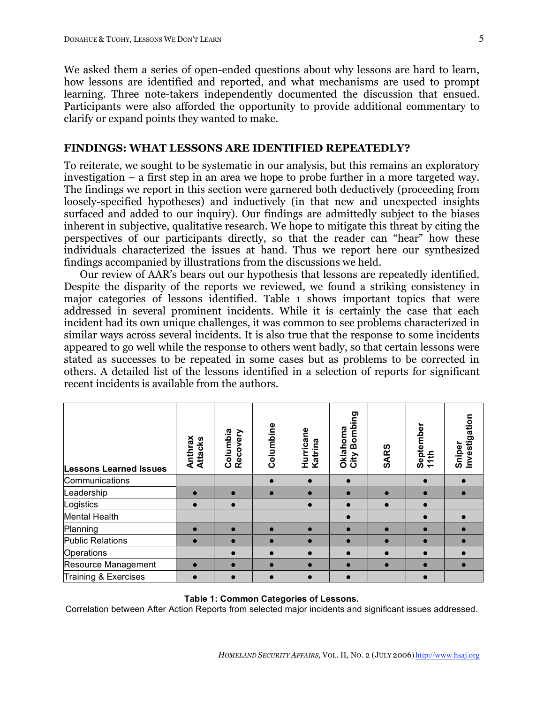We asked them a series of open-ended questions about why lessons are hard to learn, how lessons are identified and reported, and what mechanisms are used to prompt learning. Three note-takers independently documented the discussion that ensued. Participants were also afforded the opportunity to provide additional commentary to clarify or expand points they wanted to make.

# **FINDINGS: WHAT LESSONS ARE IDENTIFIED REPEATEDLY?**

To reiterate, we sought to be systematic in our analysis, but this remains an exploratory investigation – a first step in an area we hope to probe further in a more targeted way. The findings we report in this section were garnered both deductively (proceeding from loosely-specified hypotheses) and inductively (in that new and unexpected insights surfaced and added to our inquiry). Our findings are admittedly subject to the biases inherent in subjective, qualitative research. We hope to mitigate this threat by citing the perspectives of our participants directly, so that the reader can "hear" how these individuals characterized the issues at hand. Thus we report here our synthesized findings accompanied by illustrations from the discussions we held.

Our review of AAR's bears out our hypothesis that lessons are repeatedly identified. Despite the disparity of the reports we reviewed, we found a striking consistency in major categories of lessons identified. Table 1 shows important topics that were addressed in several prominent incidents. While it is certainly the case that each incident had its own unique challenges, it was common to see problems characterized in similar ways across several incidents. It is also true that the response to some incidents appeared to go well while the response to others went badly, so that certain lessons were stated as successes to be repeated in some cases but as problems to be corrected in others. A detailed list of the lessons identified in a selection of reports for significant recent incidents is available from the authors.

| <b>Lessons Learned Issues</b> | Anthrax<br>Attacks | Columbia<br>Recovery | Columbine | Hurricane<br>Katrina | Bombing<br>Oklahoma<br>City | <b>SARS</b> | September<br>11th | Sniper<br>Investigation |
|-------------------------------|--------------------|----------------------|-----------|----------------------|-----------------------------|-------------|-------------------|-------------------------|
| Communications                |                    |                      |           |                      |                             |             |                   |                         |
| Leadership                    | $\bullet$          |                      |           | $\bullet$            |                             | $\bullet$   | $\bullet$         |                         |
| Logistics                     | $\bullet$          |                      |           |                      |                             |             |                   |                         |
| Mental Health                 |                    |                      |           |                      |                             |             |                   |                         |
| Planning                      |                    |                      |           |                      |                             |             |                   |                         |
| <b>Public Relations</b>       |                    |                      |           |                      |                             |             | $\bullet$         |                         |
| Operations                    |                    |                      |           |                      |                             | $\bullet$   | $\bullet$         |                         |
| Resource Management           | $\bullet$          |                      |           |                      |                             | $\bullet$   | $\bullet$         |                         |
| Training & Exercises          | $\bullet$          |                      |           |                      |                             |             |                   |                         |

#### **Table 1: Common Categories of Lessons.**

Correlation between After Action Reports from selected major incidents and significant issues addressed.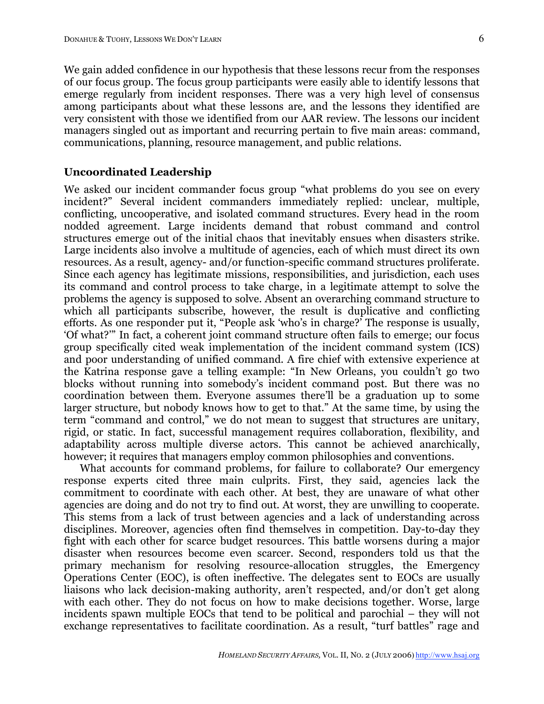We gain added confidence in our hypothesis that these lessons recur from the responses of our focus group. The focus group participants were easily able to identify lessons that emerge regularly from incident responses. There was a very high level of consensus among participants about what these lessons are, and the lessons they identified are very consistent with those we identified from our AAR review. The lessons our incident managers singled out as important and recurring pertain to five main areas: command, communications, planning, resource management, and public relations.

# **Uncoordinated Leadership**

We asked our incident commander focus group "what problems do you see on every incident?" Several incident commanders immediately replied: unclear, multiple, conflicting, uncooperative, and isolated command structures. Every head in the room nodded agreement. Large incidents demand that robust command and control structures emerge out of the initial chaos that inevitably ensues when disasters strike. Large incidents also involve a multitude of agencies, each of which must direct its own resources. As a result, agency- and/or function-specific command structures proliferate. Since each agency has legitimate missions, responsibilities, and jurisdiction, each uses its command and control process to take charge, in a legitimate attempt to solve the problems the agency is supposed to solve. Absent an overarching command structure to which all participants subscribe, however, the result is duplicative and conflicting efforts. As one responder put it, "People ask 'who's in charge?' The response is usually, 'Of what?'" In fact, a coherent joint command structure often fails to emerge; our focus group specifically cited weak implementation of the incident command system (ICS) and poor understanding of unified command. A fire chief with extensive experience at the Katrina response gave a telling example: "In New Orleans, you couldn't go two blocks without running into somebody's incident command post. But there was no coordination between them. Everyone assumes there'll be a graduation up to some larger structure, but nobody knows how to get to that." At the same time, by using the term "command and control," we do not mean to suggest that structures are unitary, rigid, or static. In fact, successful management requires collaboration, flexibility, and adaptability across multiple diverse actors. This cannot be achieved anarchically, however; it requires that managers employ common philosophies and conventions.

What accounts for command problems, for failure to collaborate? Our emergency response experts cited three main culprits. First, they said, agencies lack the commitment to coordinate with each other. At best, they are unaware of what other agencies are doing and do not try to find out. At worst, they are unwilling to cooperate. This stems from a lack of trust between agencies and a lack of understanding across disciplines. Moreover, agencies often find themselves in competition. Day-to-day they fight with each other for scarce budget resources. This battle worsens during a major disaster when resources become even scarcer. Second, responders told us that the primary mechanism for resolving resource-allocation struggles, the Emergency Operations Center (EOC), is often ineffective. The delegates sent to EOCs are usually liaisons who lack decision-making authority, aren't respected, and/or don't get along with each other. They do not focus on how to make decisions together. Worse, large incidents spawn multiple EOCs that tend to be political and parochial – they will not exchange representatives to facilitate coordination. As a result, "turf battles" rage and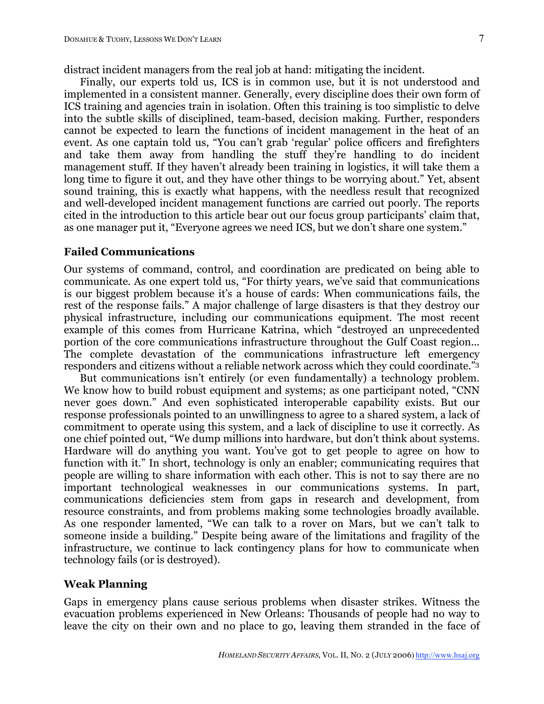distract incident managers from the real job at hand: mitigating the incident.

Finally, our experts told us, ICS is in common use, but it is not understood and implemented in a consistent manner. Generally, every discipline does their own form of ICS training and agencies train in isolation. Often this training is too simplistic to delve into the subtle skills of disciplined, team-based, decision making. Further, responders cannot be expected to learn the functions of incident management in the heat of an event. As one captain told us, "You can't grab 'regular' police officers and firefighters and take them away from handling the stuff they're handling to do incident management stuff. If they haven't already been training in logistics, it will take them a long time to figure it out, and they have other things to be worrying about." Yet, absent sound training, this is exactly what happens, with the needless result that recognized and well-developed incident management functions are carried out poorly. The reports cited in the introduction to this article bear out our focus group participants' claim that, as one manager put it, "Everyone agrees we need ICS, but we don't share one system."

### **Failed Communications**

Our systems of command, control, and coordination are predicated on being able to communicate. As one expert told us, "For thirty years, we've said that communications is our biggest problem because it's a house of cards: When communications fails, the rest of the response fails." A major challenge of large disasters is that they destroy our physical infrastructure, including our communications equipment. The most recent example of this comes from Hurricane Katrina, which "destroyed an unprecedented portion of the core communications infrastructure throughout the Gulf Coast region... The complete devastation of the communications infrastructure left emergency responders and citizens without a reliable network across which they could coordinate."3

But communications isn't entirely (or even fundamentally) a technology problem. We know how to build robust equipment and systems; as one participant noted, "CNN never goes down." And even sophisticated interoperable capability exists. But our response professionals pointed to an unwillingness to agree to a shared system, a lack of commitment to operate using this system, and a lack of discipline to use it correctly. As one chief pointed out, "We dump millions into hardware, but don't think about systems. Hardware will do anything you want. You've got to get people to agree on how to function with it." In short, technology is only an enabler; communicating requires that people are willing to share information with each other. This is not to say there are no important technological weaknesses in our communications systems. In part, communications deficiencies stem from gaps in research and development, from resource constraints, and from problems making some technologies broadly available. As one responder lamented, "We can talk to a rover on Mars, but we can't talk to someone inside a building." Despite being aware of the limitations and fragility of the infrastructure, we continue to lack contingency plans for how to communicate when technology fails (or is destroyed).

### **Weak Planning**

Gaps in emergency plans cause serious problems when disaster strikes. Witness the evacuation problems experienced in New Orleans: Thousands of people had no way to leave the city on their own and no place to go, leaving them stranded in the face of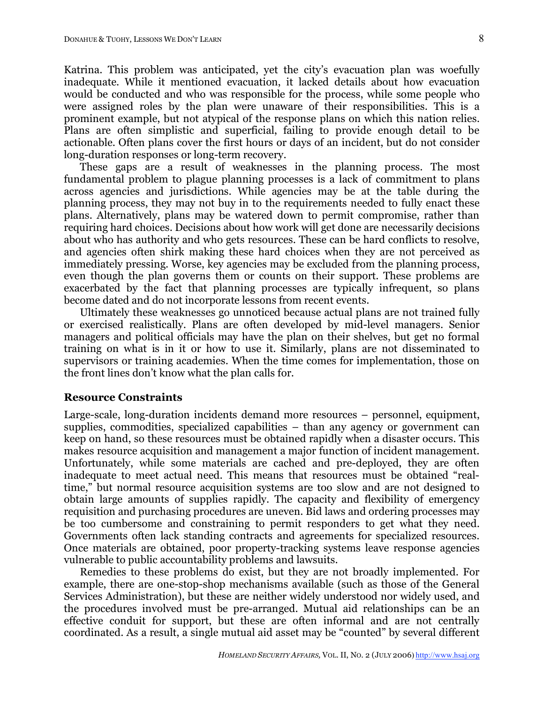Katrina. This problem was anticipated, yet the city's evacuation plan was woefully inadequate. While it mentioned evacuation, it lacked details about how evacuation would be conducted and who was responsible for the process, while some people who were assigned roles by the plan were unaware of their responsibilities. This is a prominent example, but not atypical of the response plans on which this nation relies. Plans are often simplistic and superficial, failing to provide enough detail to be actionable. Often plans cover the first hours or days of an incident, but do not consider long-duration responses or long-term recovery.

These gaps are a result of weaknesses in the planning process. The most fundamental problem to plague planning processes is a lack of commitment to plans across agencies and jurisdictions. While agencies may be at the table during the planning process, they may not buy in to the requirements needed to fully enact these plans. Alternatively, plans may be watered down to permit compromise, rather than requiring hard choices. Decisions about how work will get done are necessarily decisions about who has authority and who gets resources. These can be hard conflicts to resolve, and agencies often shirk making these hard choices when they are not perceived as immediately pressing. Worse, key agencies may be excluded from the planning process, even though the plan governs them or counts on their support. These problems are exacerbated by the fact that planning processes are typically infrequent, so plans become dated and do not incorporate lessons from recent events.

Ultimately these weaknesses go unnoticed because actual plans are not trained fully or exercised realistically. Plans are often developed by mid-level managers. Senior managers and political officials may have the plan on their shelves, but get no formal training on what is in it or how to use it. Similarly, plans are not disseminated to supervisors or training academies. When the time comes for implementation, those on the front lines don't know what the plan calls for.

#### **Resource Constraints**

Large-scale, long-duration incidents demand more resources – personnel, equipment, supplies, commodities, specialized capabilities – than any agency or government can keep on hand, so these resources must be obtained rapidly when a disaster occurs. This makes resource acquisition and management a major function of incident management. Unfortunately, while some materials are cached and pre-deployed, they are often inadequate to meet actual need. This means that resources must be obtained "realtime," but normal resource acquisition systems are too slow and are not designed to obtain large amounts of supplies rapidly. The capacity and flexibility of emergency requisition and purchasing procedures are uneven. Bid laws and ordering processes may be too cumbersome and constraining to permit responders to get what they need. Governments often lack standing contracts and agreements for specialized resources. Once materials are obtained, poor property-tracking systems leave response agencies vulnerable to public accountability problems and lawsuits.

Remedies to these problems do exist, but they are not broadly implemented. For example, there are one-stop-shop mechanisms available (such as those of the General Services Administration), but these are neither widely understood nor widely used, and the procedures involved must be pre-arranged. Mutual aid relationships can be an effective conduit for support, but these are often informal and are not centrally coordinated. As a result, a single mutual aid asset may be "counted" by several different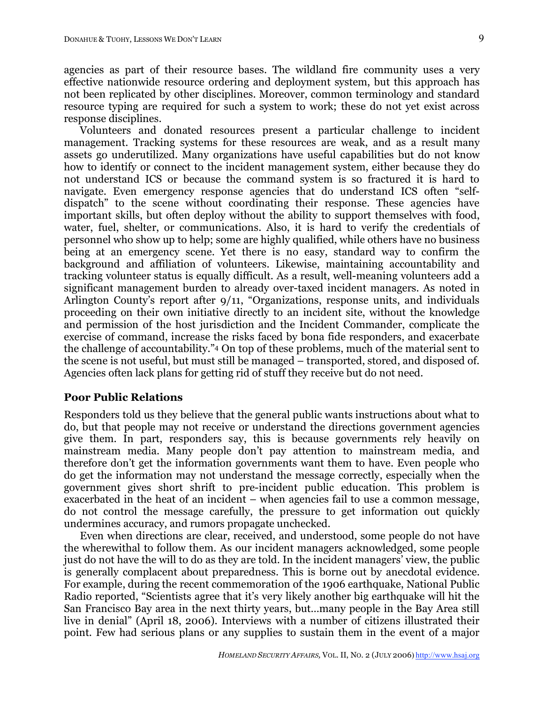agencies as part of their resource bases. The wildland fire community uses a very effective nationwide resource ordering and deployment system, but this approach has not been replicated by other disciplines. Moreover, common terminology and standard resource typing are required for such a system to work; these do not yet exist across response disciplines.

Volunteers and donated resources present a particular challenge to incident management. Tracking systems for these resources are weak, and as a result many assets go underutilized. Many organizations have useful capabilities but do not know how to identify or connect to the incident management system, either because they do not understand ICS or because the command system is so fractured it is hard to navigate. Even emergency response agencies that do understand ICS often "selfdispatch" to the scene without coordinating their response. These agencies have important skills, but often deploy without the ability to support themselves with food, water, fuel, shelter, or communications. Also, it is hard to verify the credentials of personnel who show up to help; some are highly qualified, while others have no business being at an emergency scene. Yet there is no easy, standard way to confirm the background and affiliation of volunteers. Likewise, maintaining accountability and tracking volunteer status is equally difficult. As a result, well-meaning volunteers add a significant management burden to already over-taxed incident managers. As noted in Arlington County's report after 9/11, "Organizations, response units, and individuals proceeding on their own initiative directly to an incident site, without the knowledge and permission of the host jurisdiction and the Incident Commander, complicate the exercise of command, increase the risks faced by bona fide responders, and exacerbate the challenge of accountability."4 On top of these problems, much of the material sent to the scene is not useful, but must still be managed – transported, stored, and disposed of. Agencies often lack plans for getting rid of stuff they receive but do not need.

# **Poor Public Relations**

Responders told us they believe that the general public wants instructions about what to do, but that people may not receive or understand the directions government agencies give them. In part, responders say, this is because governments rely heavily on mainstream media. Many people don't pay attention to mainstream media, and therefore don't get the information governments want them to have. Even people who do get the information may not understand the message correctly, especially when the government gives short shrift to pre-incident public education. This problem is exacerbated in the heat of an incident – when agencies fail to use a common message, do not control the message carefully, the pressure to get information out quickly undermines accuracy, and rumors propagate unchecked.

Even when directions are clear, received, and understood, some people do not have the wherewithal to follow them. As our incident managers acknowledged, some people just do not have the will to do as they are told. In the incident managers' view, the public is generally complacent about preparedness. This is borne out by anecdotal evidence. For example, during the recent commemoration of the 1906 earthquake, National Public Radio reported, "Scientists agree that it's very likely another big earthquake will hit the San Francisco Bay area in the next thirty years, but…many people in the Bay Area still live in denial" (April 18, 2006). Interviews with a number of citizens illustrated their point. Few had serious plans or any supplies to sustain them in the event of a major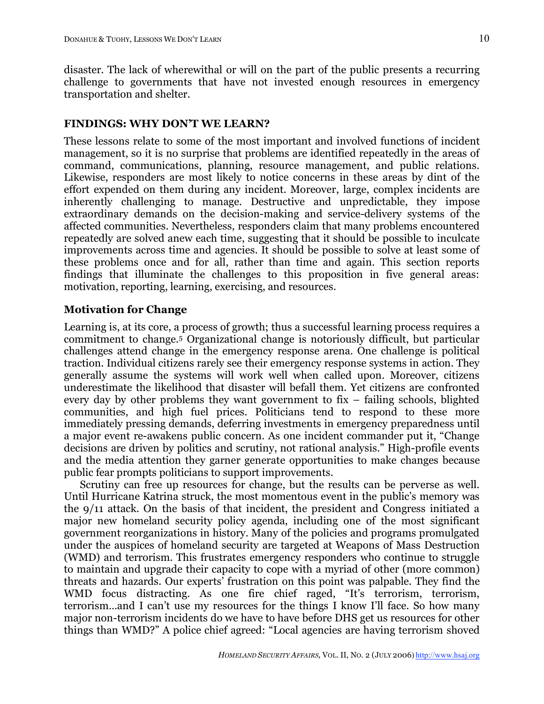disaster. The lack of wherewithal or will on the part of the public presents a recurring challenge to governments that have not invested enough resources in emergency transportation and shelter.

# **FINDINGS: WHY DON'T WE LEARN?**

These lessons relate to some of the most important and involved functions of incident management, so it is no surprise that problems are identified repeatedly in the areas of command, communications, planning, resource management, and public relations. Likewise, responders are most likely to notice concerns in these areas by dint of the effort expended on them during any incident. Moreover, large, complex incidents are inherently challenging to manage. Destructive and unpredictable, they impose extraordinary demands on the decision-making and service-delivery systems of the affected communities. Nevertheless, responders claim that many problems encountered repeatedly are solved anew each time, suggesting that it should be possible to inculcate improvements across time and agencies. It should be possible to solve at least some of these problems once and for all, rather than time and again. This section reports findings that illuminate the challenges to this proposition in five general areas: motivation, reporting, learning, exercising, and resources.

# **Motivation for Change**

Learning is, at its core, a process of growth; thus a successful learning process requires a commitment to change.5 Organizational change is notoriously difficult, but particular challenges attend change in the emergency response arena. One challenge is political traction. Individual citizens rarely see their emergency response systems in action. They generally assume the systems will work well when called upon. Moreover, citizens underestimate the likelihood that disaster will befall them. Yet citizens are confronted every day by other problems they want government to fix – failing schools, blighted communities, and high fuel prices. Politicians tend to respond to these more immediately pressing demands, deferring investments in emergency preparedness until a major event re-awakens public concern. As one incident commander put it, "Change decisions are driven by politics and scrutiny, not rational analysis." High-profile events and the media attention they garner generate opportunities to make changes because public fear prompts politicians to support improvements.

Scrutiny can free up resources for change, but the results can be perverse as well. Until Hurricane Katrina struck, the most momentous event in the public's memory was the 9/11 attack. On the basis of that incident, the president and Congress initiated a major new homeland security policy agenda, including one of the most significant government reorganizations in history. Many of the policies and programs promulgated under the auspices of homeland security are targeted at Weapons of Mass Destruction (WMD) and terrorism. This frustrates emergency responders who continue to struggle to maintain and upgrade their capacity to cope with a myriad of other (more common) threats and hazards. Our experts' frustration on this point was palpable. They find the WMD focus distracting. As one fire chief raged, "It's terrorism, terrorism, terrorism…and I can't use my resources for the things I know I'll face. So how many major non-terrorism incidents do we have to have before DHS get us resources for other things than WMD?" A police chief agreed: "Local agencies are having terrorism shoved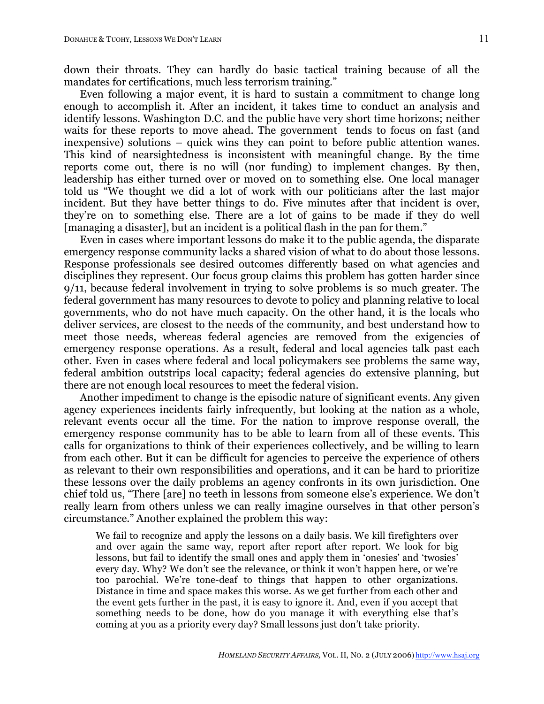down their throats. They can hardly do basic tactical training because of all the mandates for certifications, much less terrorism training."

Even following a major event, it is hard to sustain a commitment to change long enough to accomplish it. After an incident, it takes time to conduct an analysis and identify lessons. Washington D.C. and the public have very short time horizons; neither waits for these reports to move ahead. The government tends to focus on fast (and inexpensive) solutions – quick wins they can point to before public attention wanes. This kind of nearsightedness is inconsistent with meaningful change. By the time reports come out, there is no will (nor funding) to implement changes. By then, leadership has either turned over or moved on to something else. One local manager told us "We thought we did a lot of work with our politicians after the last major incident. But they have better things to do. Five minutes after that incident is over, they're on to something else. There are a lot of gains to be made if they do well [managing a disaster], but an incident is a political flash in the pan for them."

Even in cases where important lessons do make it to the public agenda, the disparate emergency response community lacks a shared vision of what to do about those lessons. Response professionals see desired outcomes differently based on what agencies and disciplines they represent. Our focus group claims this problem has gotten harder since 9/11, because federal involvement in trying to solve problems is so much greater. The federal government has many resources to devote to policy and planning relative to local governments, who do not have much capacity. On the other hand, it is the locals who deliver services, are closest to the needs of the community, and best understand how to meet those needs, whereas federal agencies are removed from the exigencies of emergency response operations. As a result, federal and local agencies talk past each other. Even in cases where federal and local policymakers see problems the same way, federal ambition outstrips local capacity; federal agencies do extensive planning, but there are not enough local resources to meet the federal vision.

Another impediment to change is the episodic nature of significant events. Any given agency experiences incidents fairly infrequently, but looking at the nation as a whole, relevant events occur all the time. For the nation to improve response overall, the emergency response community has to be able to learn from all of these events. This calls for organizations to think of their experiences collectively, and be willing to learn from each other. But it can be difficult for agencies to perceive the experience of others as relevant to their own responsibilities and operations, and it can be hard to prioritize these lessons over the daily problems an agency confronts in its own jurisdiction. One chief told us, "There [are] no teeth in lessons from someone else's experience. We don't really learn from others unless we can really imagine ourselves in that other person's circumstance." Another explained the problem this way:

We fail to recognize and apply the lessons on a daily basis. We kill firefighters over and over again the same way, report after report after report. We look for big lessons, but fail to identify the small ones and apply them in 'onesies' and 'twosies' every day. Why? We don't see the relevance, or think it won't happen here, or we're too parochial. We're tone-deaf to things that happen to other organizations. Distance in time and space makes this worse. As we get further from each other and the event gets further in the past, it is easy to ignore it. And, even if you accept that something needs to be done, how do you manage it with everything else that's coming at you as a priority every day? Small lessons just don't take priority.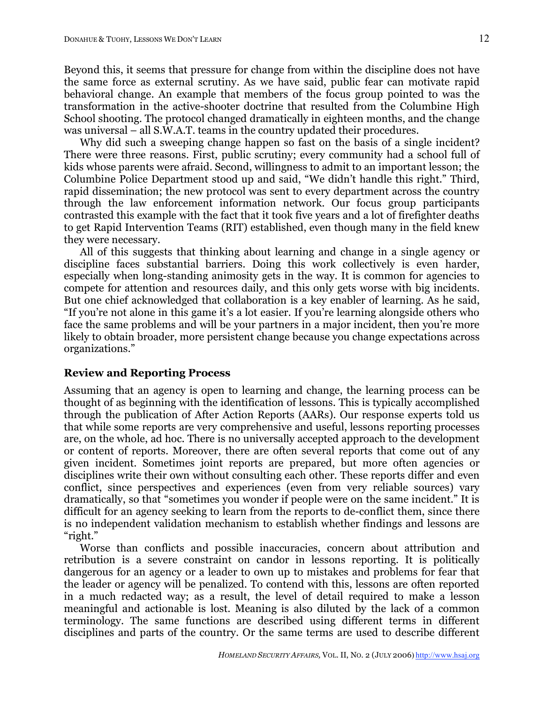Beyond this, it seems that pressure for change from within the discipline does not have the same force as external scrutiny. As we have said, public fear can motivate rapid behavioral change. An example that members of the focus group pointed to was the transformation in the active-shooter doctrine that resulted from the Columbine High School shooting. The protocol changed dramatically in eighteen months, and the change was universal – all S.W.A.T. teams in the country updated their procedures.

Why did such a sweeping change happen so fast on the basis of a single incident? There were three reasons. First, public scrutiny; every community had a school full of kids whose parents were afraid. Second, willingness to admit to an important lesson; the Columbine Police Department stood up and said, "We didn't handle this right." Third, rapid dissemination; the new protocol was sent to every department across the country through the law enforcement information network. Our focus group participants contrasted this example with the fact that it took five years and a lot of firefighter deaths to get Rapid Intervention Teams (RIT) established, even though many in the field knew they were necessary.

All of this suggests that thinking about learning and change in a single agency or discipline faces substantial barriers. Doing this work collectively is even harder, especially when long-standing animosity gets in the way. It is common for agencies to compete for attention and resources daily, and this only gets worse with big incidents. But one chief acknowledged that collaboration is a key enabler of learning. As he said, "If you're not alone in this game it's a lot easier. If you're learning alongside others who face the same problems and will be your partners in a major incident, then you're more likely to obtain broader, more persistent change because you change expectations across organizations."

#### **Review and Reporting Process**

Assuming that an agency is open to learning and change, the learning process can be thought of as beginning with the identification of lessons. This is typically accomplished through the publication of After Action Reports (AARs). Our response experts told us that while some reports are very comprehensive and useful, lessons reporting processes are, on the whole, ad hoc. There is no universally accepted approach to the development or content of reports. Moreover, there are often several reports that come out of any given incident. Sometimes joint reports are prepared, but more often agencies or disciplines write their own without consulting each other. These reports differ and even conflict, since perspectives and experiences (even from very reliable sources) vary dramatically, so that "sometimes you wonder if people were on the same incident." It is difficult for an agency seeking to learn from the reports to de-conflict them, since there is no independent validation mechanism to establish whether findings and lessons are "right."

Worse than conflicts and possible inaccuracies, concern about attribution and retribution is a severe constraint on candor in lessons reporting. It is politically dangerous for an agency or a leader to own up to mistakes and problems for fear that the leader or agency will be penalized. To contend with this, lessons are often reported in a much redacted way; as a result, the level of detail required to make a lesson meaningful and actionable is lost. Meaning is also diluted by the lack of a common terminology. The same functions are described using different terms in different disciplines and parts of the country. Or the same terms are used to describe different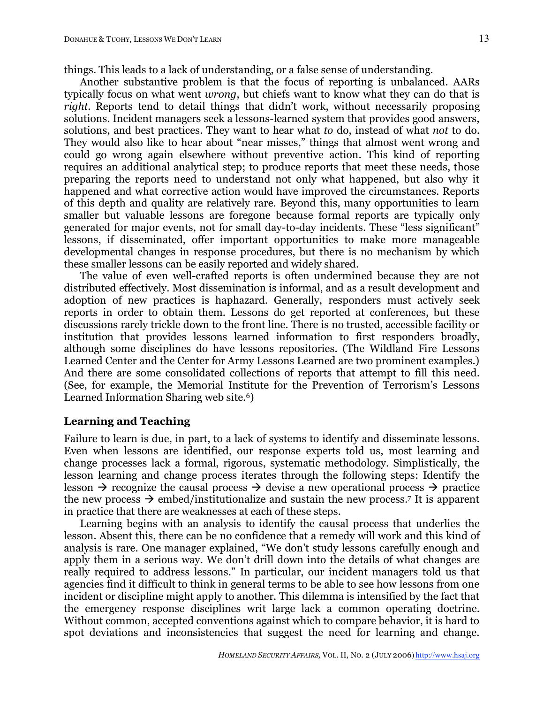Another substantive problem is that the focus of reporting is unbalanced. AARs typically focus on what went *wrong*, but chiefs want to know what they can do that is *right*. Reports tend to detail things that didn't work, without necessarily proposing solutions. Incident managers seek a lessons-learned system that provides good answers, solutions, and best practices. They want to hear what *to* do, instead of what *not* to do. They would also like to hear about "near misses," things that almost went wrong and could go wrong again elsewhere without preventive action. This kind of reporting requires an additional analytical step; to produce reports that meet these needs, those preparing the reports need to understand not only what happened, but also why it happened and what corrective action would have improved the circumstances. Reports of this depth and quality are relatively rare. Beyond this, many opportunities to learn smaller but valuable lessons are foregone because formal reports are typically only generated for major events, not for small day-to-day incidents. These "less significant" lessons, if disseminated, offer important opportunities to make more manageable developmental changes in response procedures, but there is no mechanism by which these smaller lessons can be easily reported and widely shared.

The value of even well-crafted reports is often undermined because they are not distributed effectively. Most dissemination is informal, and as a result development and adoption of new practices is haphazard. Generally, responders must actively seek reports in order to obtain them. Lessons do get reported at conferences, but these discussions rarely trickle down to the front line. There is no trusted, accessible facility or institution that provides lessons learned information to first responders broadly, although some disciplines do have lessons repositories. (The Wildland Fire Lessons Learned Center and the Center for Army Lessons Learned are two prominent examples.) And there are some consolidated collections of reports that attempt to fill this need. (See, for example, the Memorial Institute for the Prevention of Terrorism's Lessons Learned Information Sharing web site.<sup>6</sup>)

### **Learning and Teaching**

Failure to learn is due, in part, to a lack of systems to identify and disseminate lessons. Even when lessons are identified, our response experts told us, most learning and change processes lack a formal, rigorous, systematic methodology. Simplistically, the lesson learning and change process iterates through the following steps: Identify the lesson  $\rightarrow$  recognize the causal process  $\rightarrow$  devise a new operational process  $\rightarrow$  practice the new process  $\rightarrow$  embed/institutionalize and sustain the new process.<sup>7</sup> It is apparent in practice that there are weaknesses at each of these steps.

Learning begins with an analysis to identify the causal process that underlies the lesson. Absent this, there can be no confidence that a remedy will work and this kind of analysis is rare. One manager explained, "We don't study lessons carefully enough and apply them in a serious way. We don't drill down into the details of what changes are really required to address lessons." In particular, our incident managers told us that agencies find it difficult to think in general terms to be able to see how lessons from one incident or discipline might apply to another. This dilemma is intensified by the fact that the emergency response disciplines writ large lack a common operating doctrine. Without common, accepted conventions against which to compare behavior, it is hard to spot deviations and inconsistencies that suggest the need for learning and change.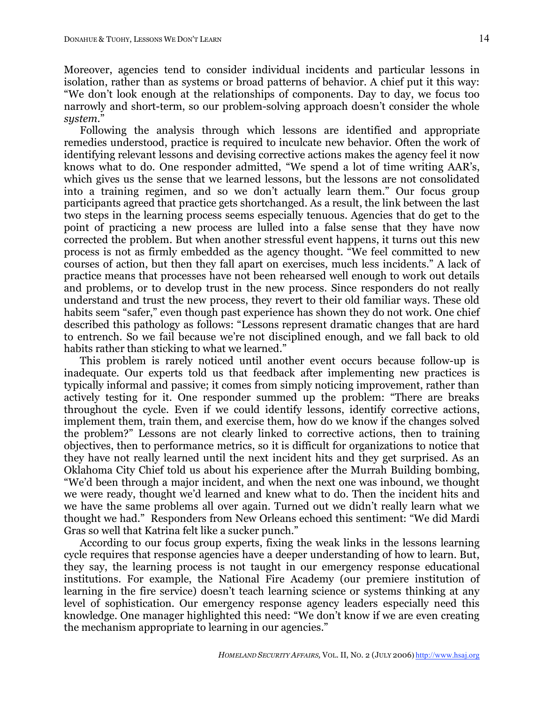Moreover, agencies tend to consider individual incidents and particular lessons in isolation, rather than as systems or broad patterns of behavior. A chief put it this way: "We don't look enough at the relationships of components. Day to day, we focus too narrowly and short-term, so our problem-solving approach doesn't consider the whole *system*."

Following the analysis through which lessons are identified and appropriate remedies understood, practice is required to inculcate new behavior. Often the work of identifying relevant lessons and devising corrective actions makes the agency feel it now knows what to do. One responder admitted, "We spend a lot of time writing AAR's, which gives us the sense that we learned lessons, but the lessons are not consolidated into a training regimen, and so we don't actually learn them." Our focus group participants agreed that practice gets shortchanged. As a result, the link between the last two steps in the learning process seems especially tenuous. Agencies that do get to the point of practicing a new process are lulled into a false sense that they have now corrected the problem. But when another stressful event happens, it turns out this new process is not as firmly embedded as the agency thought. "We feel committed to new courses of action, but then they fall apart on exercises, much less incidents." A lack of practice means that processes have not been rehearsed well enough to work out details and problems, or to develop trust in the new process. Since responders do not really understand and trust the new process, they revert to their old familiar ways. These old habits seem "safer," even though past experience has shown they do not work. One chief described this pathology as follows: "Lessons represent dramatic changes that are hard to entrench. So we fail because we're not disciplined enough, and we fall back to old habits rather than sticking to what we learned."

This problem is rarely noticed until another event occurs because follow-up is inadequate. Our experts told us that feedback after implementing new practices is typically informal and passive; it comes from simply noticing improvement, rather than actively testing for it. One responder summed up the problem: "There are breaks throughout the cycle. Even if we could identify lessons, identify corrective actions, implement them, train them, and exercise them, how do we know if the changes solved the problem?" Lessons are not clearly linked to corrective actions, then to training objectives, then to performance metrics, so it is difficult for organizations to notice that they have not really learned until the next incident hits and they get surprised. As an Oklahoma City Chief told us about his experience after the Murrah Building bombing, "We'd been through a major incident, and when the next one was inbound, we thought we were ready, thought we'd learned and knew what to do. Then the incident hits and we have the same problems all over again. Turned out we didn't really learn what we thought we had." Responders from New Orleans echoed this sentiment: "We did Mardi Gras so well that Katrina felt like a sucker punch."

According to our focus group experts, fixing the weak links in the lessons learning cycle requires that response agencies have a deeper understanding of how to learn. But, they say, the learning process is not taught in our emergency response educational institutions. For example, the National Fire Academy (our premiere institution of learning in the fire service) doesn't teach learning science or systems thinking at any level of sophistication. Our emergency response agency leaders especially need this knowledge. One manager highlighted this need: "We don't know if we are even creating the mechanism appropriate to learning in our agencies."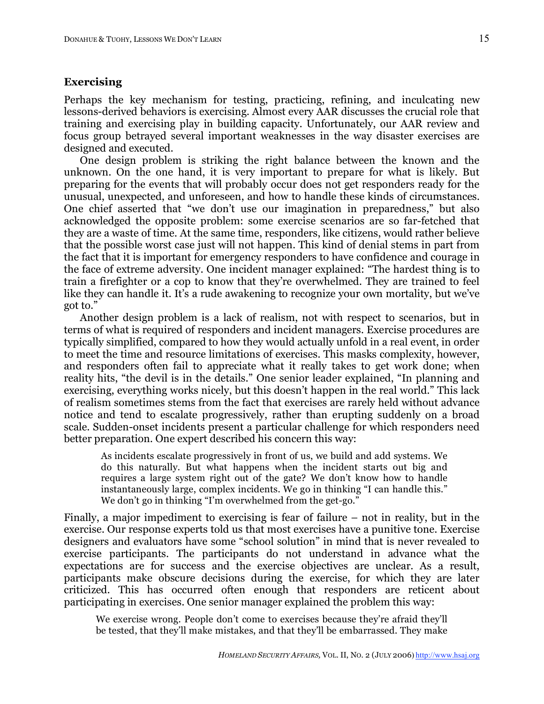### **Exercising**

Perhaps the key mechanism for testing, practicing, refining, and inculcating new lessons-derived behaviors is exercising. Almost every AAR discusses the crucial role that training and exercising play in building capacity. Unfortunately, our AAR review and focus group betrayed several important weaknesses in the way disaster exercises are designed and executed.

One design problem is striking the right balance between the known and the unknown. On the one hand, it is very important to prepare for what is likely. But preparing for the events that will probably occur does not get responders ready for the unusual, unexpected, and unforeseen, and how to handle these kinds of circumstances. One chief asserted that "we don't use our imagination in preparedness," but also acknowledged the opposite problem: some exercise scenarios are so far-fetched that they are a waste of time. At the same time, responders, like citizens, would rather believe that the possible worst case just will not happen. This kind of denial stems in part from the fact that it is important for emergency responders to have confidence and courage in the face of extreme adversity. One incident manager explained: "The hardest thing is to train a firefighter or a cop to know that they're overwhelmed. They are trained to feel like they can handle it. It's a rude awakening to recognize your own mortality, but we've got to."

Another design problem is a lack of realism, not with respect to scenarios, but in terms of what is required of responders and incident managers. Exercise procedures are typically simplified, compared to how they would actually unfold in a real event, in order to meet the time and resource limitations of exercises. This masks complexity, however, and responders often fail to appreciate what it really takes to get work done; when reality hits, "the devil is in the details." One senior leader explained, "In planning and exercising, everything works nicely, but this doesn't happen in the real world." This lack of realism sometimes stems from the fact that exercises are rarely held without advance notice and tend to escalate progressively, rather than erupting suddenly on a broad scale. Sudden-onset incidents present a particular challenge for which responders need better preparation. One expert described his concern this way:

As incidents escalate progressively in front of us, we build and add systems. We do this naturally. But what happens when the incident starts out big and requires a large system right out of the gate? We don't know how to handle instantaneously large, complex incidents. We go in thinking "I can handle this." We don't go in thinking "I'm overwhelmed from the get-go."

Finally, a major impediment to exercising is fear of failure – not in reality, but in the exercise. Our response experts told us that most exercises have a punitive tone. Exercise designers and evaluators have some "school solution" in mind that is never revealed to exercise participants. The participants do not understand in advance what the expectations are for success and the exercise objectives are unclear. As a result, participants make obscure decisions during the exercise, for which they are later criticized. This has occurred often enough that responders are reticent about participating in exercises. One senior manager explained the problem this way:

We exercise wrong. People don't come to exercises because they're afraid they'll be tested, that they'll make mistakes, and that they'll be embarrassed. They make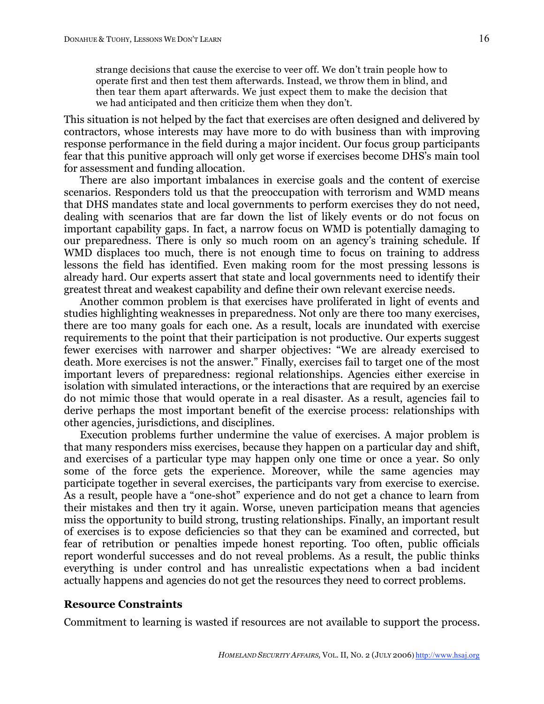This situation is not helped by the fact that exercises are often designed and delivered by contractors, whose interests may have more to do with business than with improving response performance in the field during a major incident. Our focus group participants fear that this punitive approach will only get worse if exercises become DHS's main tool for assessment and funding allocation.

There are also important imbalances in exercise goals and the content of exercise scenarios. Responders told us that the preoccupation with terrorism and WMD means that DHS mandates state and local governments to perform exercises they do not need, dealing with scenarios that are far down the list of likely events or do not focus on important capability gaps. In fact, a narrow focus on WMD is potentially damaging to our preparedness. There is only so much room on an agency's training schedule. If WMD displaces too much, there is not enough time to focus on training to address lessons the field has identified. Even making room for the most pressing lessons is already hard. Our experts assert that state and local governments need to identify their greatest threat and weakest capability and define their own relevant exercise needs.

Another common problem is that exercises have proliferated in light of events and studies highlighting weaknesses in preparedness. Not only are there too many exercises, there are too many goals for each one. As a result, locals are inundated with exercise requirements to the point that their participation is not productive. Our experts suggest fewer exercises with narrower and sharper objectives: "We are already exercised to death. More exercises is not the answer." Finally, exercises fail to target one of the most important levers of preparedness: regional relationships. Agencies either exercise in isolation with simulated interactions, or the interactions that are required by an exercise do not mimic those that would operate in a real disaster. As a result, agencies fail to derive perhaps the most important benefit of the exercise process: relationships with other agencies, jurisdictions, and disciplines.

Execution problems further undermine the value of exercises. A major problem is that many responders miss exercises, because they happen on a particular day and shift, and exercises of a particular type may happen only one time or once a year. So only some of the force gets the experience. Moreover, while the same agencies may participate together in several exercises, the participants vary from exercise to exercise. As a result, people have a "one-shot" experience and do not get a chance to learn from their mistakes and then try it again. Worse, uneven participation means that agencies miss the opportunity to build strong, trusting relationships. Finally, an important result of exercises is to expose deficiencies so that they can be examined and corrected, but fear of retribution or penalties impede honest reporting. Too often, public officials report wonderful successes and do not reveal problems. As a result, the public thinks everything is under control and has unrealistic expectations when a bad incident actually happens and agencies do not get the resources they need to correct problems.

### **Resource Constraints**

Commitment to learning is wasted if resources are not available to support the process.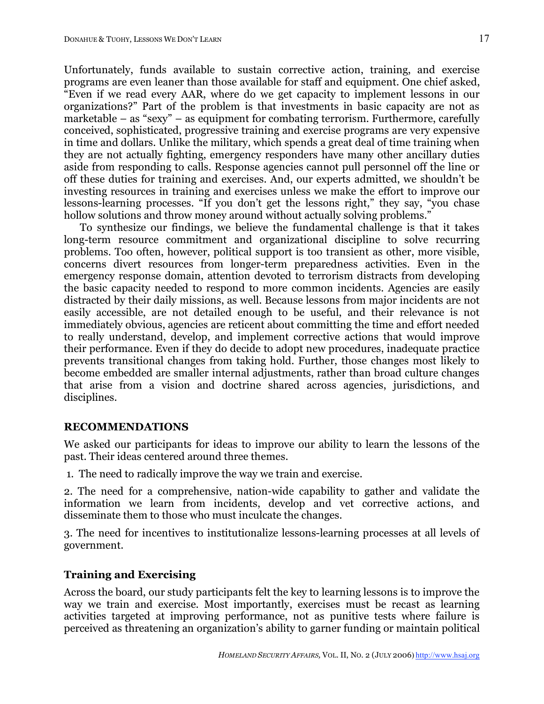Unfortunately, funds available to sustain corrective action, training, and exercise programs are even leaner than those available for staff and equipment. One chief asked, "Even if we read every AAR, where do we get capacity to implement lessons in our organizations?" Part of the problem is that investments in basic capacity are not as marketable – as "sexy" – as equipment for combating terrorism. Furthermore, carefully conceived, sophisticated, progressive training and exercise programs are very expensive in time and dollars. Unlike the military, which spends a great deal of time training when they are not actually fighting, emergency responders have many other ancillary duties aside from responding to calls. Response agencies cannot pull personnel off the line or off these duties for training and exercises. And, our experts admitted, we shouldn't be investing resources in training and exercises unless we make the effort to improve our lessons-learning processes. "If you don't get the lessons right," they say, "you chase hollow solutions and throw money around without actually solving problems."

To synthesize our findings, we believe the fundamental challenge is that it takes long-term resource commitment and organizational discipline to solve recurring problems. Too often, however, political support is too transient as other, more visible, concerns divert resources from longer-term preparedness activities. Even in the emergency response domain, attention devoted to terrorism distracts from developing the basic capacity needed to respond to more common incidents. Agencies are easily distracted by their daily missions, as well. Because lessons from major incidents are not easily accessible, are not detailed enough to be useful, and their relevance is not immediately obvious, agencies are reticent about committing the time and effort needed to really understand, develop, and implement corrective actions that would improve their performance. Even if they do decide to adopt new procedures, inadequate practice prevents transitional changes from taking hold. Further, those changes most likely to become embedded are smaller internal adjustments, rather than broad culture changes that arise from a vision and doctrine shared across agencies, jurisdictions, and disciplines.

# **RECOMMENDATIONS**

We asked our participants for ideas to improve our ability to learn the lessons of the past. Their ideas centered around three themes.

1. The need to radically improve the way we train and exercise.

2. The need for a comprehensive, nation-wide capability to gather and validate the information we learn from incidents, develop and vet corrective actions, and disseminate them to those who must inculcate the changes.

3. The need for incentives to institutionalize lessons-learning processes at all levels of government.

# **Training and Exercising**

Across the board, our study participants felt the key to learning lessons is to improve the way we train and exercise. Most importantly, exercises must be recast as learning activities targeted at improving performance, not as punitive tests where failure is perceived as threatening an organization's ability to garner funding or maintain political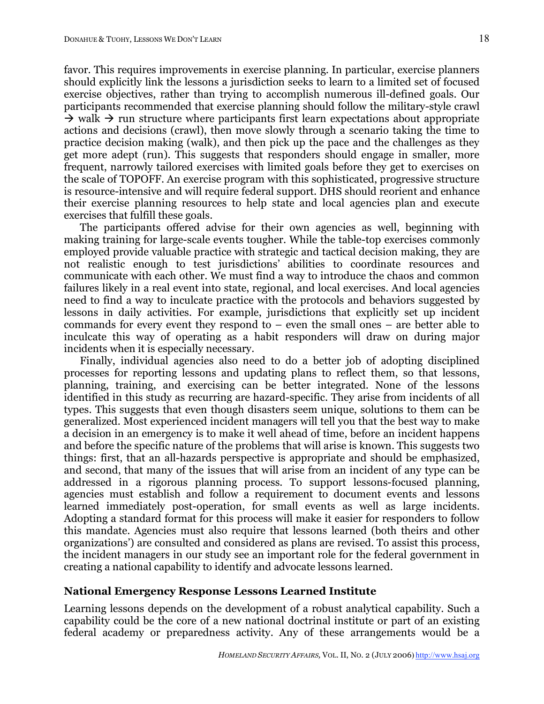favor. This requires improvements in exercise planning. In particular, exercise planners should explicitly link the lessons a jurisdiction seeks to learn to a limited set of focused exercise objectives, rather than trying to accomplish numerous ill-defined goals. Our participants recommended that exercise planning should follow the military-style crawl  $\rightarrow$  walk  $\rightarrow$  run structure where participants first learn expectations about appropriate actions and decisions (crawl), then move slowly through a scenario taking the time to practice decision making (walk), and then pick up the pace and the challenges as they get more adept (run). This suggests that responders should engage in smaller, more frequent, narrowly tailored exercises with limited goals before they get to exercises on the scale of TOPOFF. An exercise program with this sophisticated, progressive structure is resource-intensive and will require federal support. DHS should reorient and enhance their exercise planning resources to help state and local agencies plan and execute exercises that fulfill these goals.

The participants offered advise for their own agencies as well, beginning with making training for large-scale events tougher. While the table-top exercises commonly employed provide valuable practice with strategic and tactical decision making, they are not realistic enough to test jurisdictions' abilities to coordinate resources and communicate with each other. We must find a way to introduce the chaos and common failures likely in a real event into state, regional, and local exercises. And local agencies need to find a way to inculcate practice with the protocols and behaviors suggested by lessons in daily activities. For example, jurisdictions that explicitly set up incident commands for every event they respond to – even the small ones – are better able to inculcate this way of operating as a habit responders will draw on during major incidents when it is especially necessary.

Finally, individual agencies also need to do a better job of adopting disciplined processes for reporting lessons and updating plans to reflect them, so that lessons, planning, training, and exercising can be better integrated. None of the lessons identified in this study as recurring are hazard-specific. They arise from incidents of all types. This suggests that even though disasters seem unique, solutions to them can be generalized. Most experienced incident managers will tell you that the best way to make a decision in an emergency is to make it well ahead of time, before an incident happens and before the specific nature of the problems that will arise is known. This suggests two things: first, that an all-hazards perspective is appropriate and should be emphasized, and second, that many of the issues that will arise from an incident of any type can be addressed in a rigorous planning process. To support lessons-focused planning, agencies must establish and follow a requirement to document events and lessons learned immediately post-operation, for small events as well as large incidents. Adopting a standard format for this process will make it easier for responders to follow this mandate. Agencies must also require that lessons learned (both theirs and other organizations') are consulted and considered as plans are revised. To assist this process, the incident managers in our study see an important role for the federal government in creating a national capability to identify and advocate lessons learned.

### **National Emergency Response Lessons Learned Institute**

Learning lessons depends on the development of a robust analytical capability. Such a capability could be the core of a new national doctrinal institute or part of an existing federal academy or preparedness activity. Any of these arrangements would be a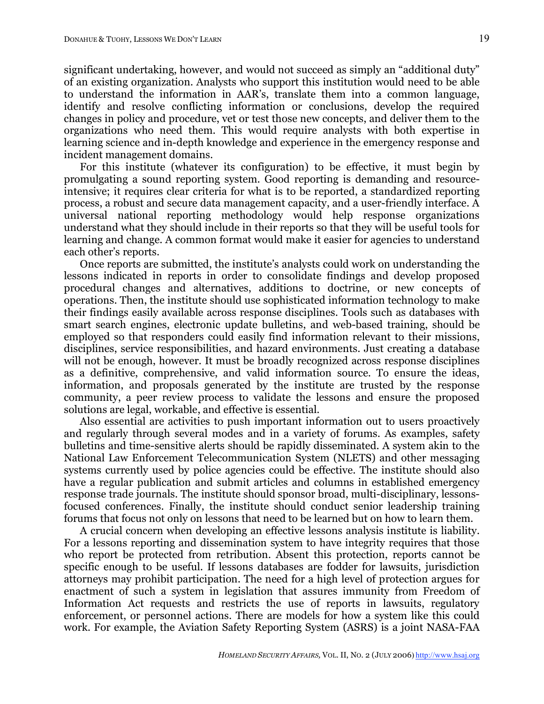significant undertaking, however, and would not succeed as simply an "additional duty" of an existing organization. Analysts who support this institution would need to be able to understand the information in AAR's, translate them into a common language, identify and resolve conflicting information or conclusions, develop the required changes in policy and procedure, vet or test those new concepts, and deliver them to the organizations who need them. This would require analysts with both expertise in learning science and in-depth knowledge and experience in the emergency response and incident management domains.

For this institute (whatever its configuration) to be effective, it must begin by promulgating a sound reporting system. Good reporting is demanding and resourceintensive; it requires clear criteria for what is to be reported, a standardized reporting process, a robust and secure data management capacity, and a user-friendly interface. A universal national reporting methodology would help response organizations understand what they should include in their reports so that they will be useful tools for learning and change. A common format would make it easier for agencies to understand each other's reports.

Once reports are submitted, the institute's analysts could work on understanding the lessons indicated in reports in order to consolidate findings and develop proposed procedural changes and alternatives, additions to doctrine, or new concepts of operations. Then, the institute should use sophisticated information technology to make their findings easily available across response disciplines. Tools such as databases with smart search engines, electronic update bulletins, and web-based training, should be employed so that responders could easily find information relevant to their missions, disciplines, service responsibilities, and hazard environments. Just creating a database will not be enough, however. It must be broadly recognized across response disciplines as a definitive, comprehensive, and valid information source. To ensure the ideas, information, and proposals generated by the institute are trusted by the response community, a peer review process to validate the lessons and ensure the proposed solutions are legal, workable, and effective is essential.

Also essential are activities to push important information out to users proactively and regularly through several modes and in a variety of forums. As examples, safety bulletins and time-sensitive alerts should be rapidly disseminated. A system akin to the National Law Enforcement Telecommunication System (NLETS) and other messaging systems currently used by police agencies could be effective. The institute should also have a regular publication and submit articles and columns in established emergency response trade journals. The institute should sponsor broad, multi-disciplinary, lessonsfocused conferences. Finally, the institute should conduct senior leadership training forums that focus not only on lessons that need to be learned but on how to learn them.

A crucial concern when developing an effective lessons analysis institute is liability. For a lessons reporting and dissemination system to have integrity requires that those who report be protected from retribution. Absent this protection, reports cannot be specific enough to be useful. If lessons databases are fodder for lawsuits, jurisdiction attorneys may prohibit participation. The need for a high level of protection argues for enactment of such a system in legislation that assures immunity from Freedom of Information Act requests and restricts the use of reports in lawsuits, regulatory enforcement, or personnel actions. There are models for how a system like this could work. For example, the Aviation Safety Reporting System (ASRS) is a joint NASA-FAA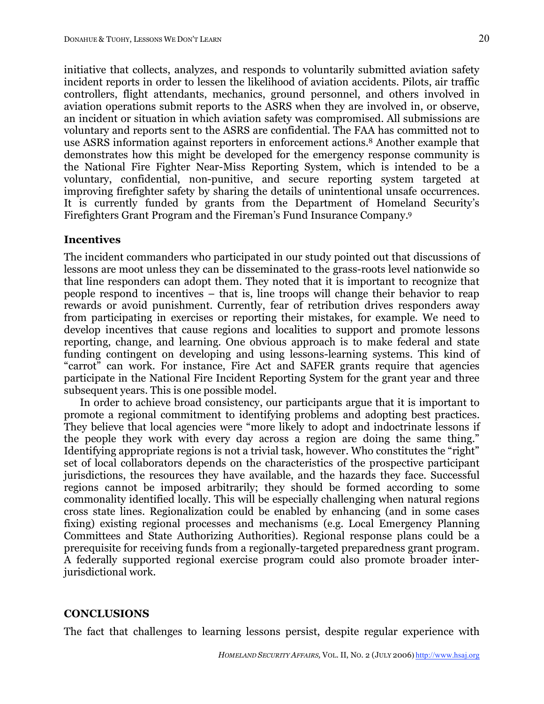initiative that collects, analyzes, and responds to voluntarily submitted aviation safety incident reports in order to lessen the likelihood of aviation accidents. Pilots, air traffic controllers, flight attendants, mechanics, ground personnel, and others involved in aviation operations submit reports to the ASRS when they are involved in, or observe, an incident or situation in which aviation safety was compromised. All submissions are voluntary and reports sent to the ASRS are confidential. The FAA has committed not to use ASRS information against reporters in enforcement actions. <sup>8</sup> Another example that demonstrates how this might be developed for the emergency response community is the National Fire Fighter Near-Miss Reporting System, which is intended to be a voluntary, confidential, non-punitive, and secure reporting system targeted at improving firefighter safety by sharing the details of unintentional unsafe occurrences. It is currently funded by grants from the Department of Homeland Security's Firefighters Grant Program and the Fireman's Fund Insurance Company. 9

### **Incentives**

The incident commanders who participated in our study pointed out that discussions of lessons are moot unless they can be disseminated to the grass-roots level nationwide so that line responders can adopt them. They noted that it is important to recognize that people respond to incentives – that is, line troops will change their behavior to reap rewards or avoid punishment. Currently, fear of retribution drives responders away from participating in exercises or reporting their mistakes, for example. We need to develop incentives that cause regions and localities to support and promote lessons reporting, change, and learning. One obvious approach is to make federal and state funding contingent on developing and using lessons-learning systems. This kind of "carrot" can work. For instance, Fire Act and SAFER grants require that agencies participate in the National Fire Incident Reporting System for the grant year and three subsequent years. This is one possible model.

In order to achieve broad consistency, our participants argue that it is important to promote a regional commitment to identifying problems and adopting best practices. They believe that local agencies were "more likely to adopt and indoctrinate lessons if the people they work with every day across a region are doing the same thing." Identifying appropriate regions is not a trivial task, however. Who constitutes the "right" set of local collaborators depends on the characteristics of the prospective participant jurisdictions, the resources they have available, and the hazards they face. Successful regions cannot be imposed arbitrarily; they should be formed according to some commonality identified locally. This will be especially challenging when natural regions cross state lines. Regionalization could be enabled by enhancing (and in some cases fixing) existing regional processes and mechanisms (e.g. Local Emergency Planning Committees and State Authorizing Authorities). Regional response plans could be a prerequisite for receiving funds from a regionally-targeted preparedness grant program. A federally supported regional exercise program could also promote broader interjurisdictional work.

### **CONCLUSIONS**

The fact that challenges to learning lessons persist, despite regular experience with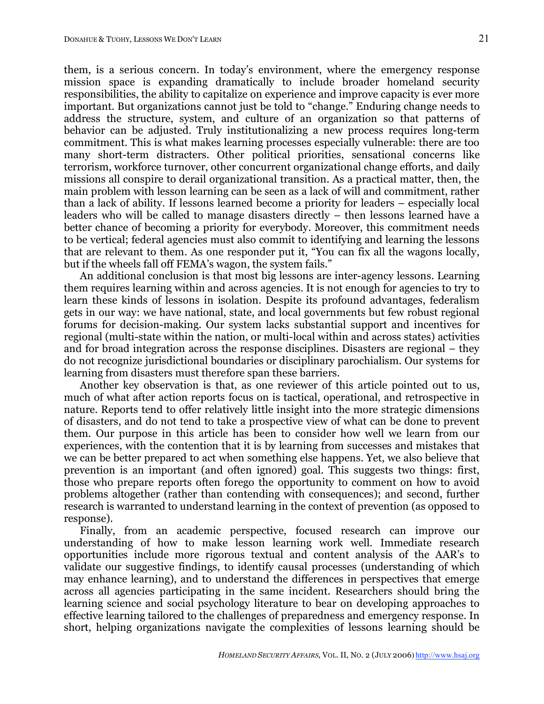them, is a serious concern. In today's environment, where the emergency response mission space is expanding dramatically to include broader homeland security responsibilities, the ability to capitalize on experience and improve capacity is ever more important. But organizations cannot just be told to "change." Enduring change needs to address the structure, system, and culture of an organization so that patterns of behavior can be adjusted. Truly institutionalizing a new process requires long-term commitment. This is what makes learning processes especially vulnerable: there are too many short-term distracters. Other political priorities, sensational concerns like terrorism, workforce turnover, other concurrent organizational change efforts, and daily missions all conspire to derail organizational transition. As a practical matter, then, the main problem with lesson learning can be seen as a lack of will and commitment, rather than a lack of ability. If lessons learned become a priority for leaders – especially local leaders who will be called to manage disasters directly – then lessons learned have a better chance of becoming a priority for everybody. Moreover, this commitment needs to be vertical; federal agencies must also commit to identifying and learning the lessons that are relevant to them. As one responder put it, "You can fix all the wagons locally, but if the wheels fall off FEMA's wagon, the system fails."

An additional conclusion is that most big lessons are inter-agency lessons. Learning them requires learning within and across agencies. It is not enough for agencies to try to learn these kinds of lessons in isolation. Despite its profound advantages, federalism gets in our way: we have national, state, and local governments but few robust regional forums for decision-making. Our system lacks substantial support and incentives for regional (multi-state within the nation, or multi-local within and across states) activities and for broad integration across the response disciplines. Disasters are regional – they do not recognize jurisdictional boundaries or disciplinary parochialism. Our systems for learning from disasters must therefore span these barriers.

Another key observation is that, as one reviewer of this article pointed out to us, much of what after action reports focus on is tactical, operational, and retrospective in nature. Reports tend to offer relatively little insight into the more strategic dimensions of disasters, and do not tend to take a prospective view of what can be done to prevent them. Our purpose in this article has been to consider how well we learn from our experiences, with the contention that it is by learning from successes and mistakes that we can be better prepared to act when something else happens. Yet, we also believe that prevention is an important (and often ignored) goal. This suggests two things: first, those who prepare reports often forego the opportunity to comment on how to avoid problems altogether (rather than contending with consequences); and second, further research is warranted to understand learning in the context of prevention (as opposed to response).

Finally, from an academic perspective, focused research can improve our understanding of how to make lesson learning work well. Immediate research opportunities include more rigorous textual and content analysis of the AAR's to validate our suggestive findings, to identify causal processes (understanding of which may enhance learning), and to understand the differences in perspectives that emerge across all agencies participating in the same incident. Researchers should bring the learning science and social psychology literature to bear on developing approaches to effective learning tailored to the challenges of preparedness and emergency response. In short, helping organizations navigate the complexities of lessons learning should be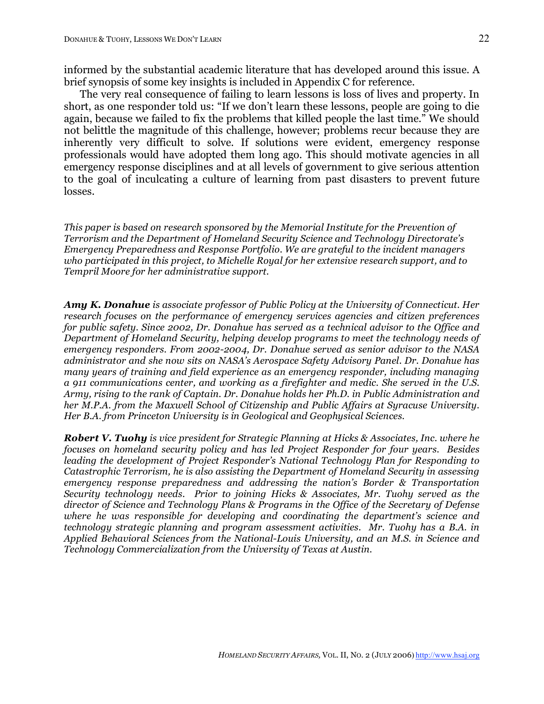informed by the substantial academic literature that has developed around this issue. A brief synopsis of some key insights is included in Appendix C for reference.

The very real consequence of failing to learn lessons is loss of lives and property. In short, as one responder told us: "If we don't learn these lessons, people are going to die again, because we failed to fix the problems that killed people the last time." We should not belittle the magnitude of this challenge, however; problems recur because they are inherently very difficult to solve. If solutions were evident, emergency response professionals would have adopted them long ago. This should motivate agencies in all emergency response disciplines and at all levels of government to give serious attention to the goal of inculcating a culture of learning from past disasters to prevent future losses.

*This paper is based on research sponsored by the Memorial Institute for the Prevention of Terrorism and the Department of Homeland Security Science and Technology Directorate's Emergency Preparedness and Response Portfolio. We are grateful to the incident managers who participated in this project, to Michelle Royal for her extensive research support, and to Tempril Moore for her administrative support.*

*Amy K. Donahue is associate professor of Public Policy at the University of Connecticut. Her research focuses on the performance of emergency services agencies and citizen preferences for public safety. Since 2002, Dr. Donahue has served as a technical advisor to the Office and Department of Homeland Security, helping develop programs to meet the technology needs of emergency responders. From 2002-2004, Dr. Donahue served as senior advisor to the NASA administrator and she now sits on NASA's Aerospace Safety Advisory Panel. Dr. Donahue has many years of training and field experience as an emergency responder, including managing a 911 communications center, and working as a firefighter and medic. She served in the U.S. Army, rising to the rank of Captain. Dr. Donahue holds her Ph.D. in Public Administration and her M.P.A. from the Maxwell School of Citizenship and Public Affairs at Syracuse University. Her B.A. from Princeton University is in Geological and Geophysical Sciences.*

*Robert V. Tuohy is vice president for Strategic Planning at Hicks & Associates, Inc. where he focuses on homeland security policy and has led Project Responder for four years. Besides leading the development of Project Responder's National Technology Plan for Responding to Catastrophic Terrorism, he is also assisting the Department of Homeland Security in assessing emergency response preparedness and addressing the nation's Border & Transportation Security technology needs. Prior to joining Hicks & Associates, Mr. Tuohy served as the director of Science and Technology Plans & Programs in the Office of the Secretary of Defense where he was responsible for developing and coordinating the department's science and technology strategic planning and program assessment activities. Mr. Tuohy has a B.A. in Applied Behavioral Sciences from the National-Louis University, and an M.S. in Science and Technology Commercialization from the University of Texas at Austin.*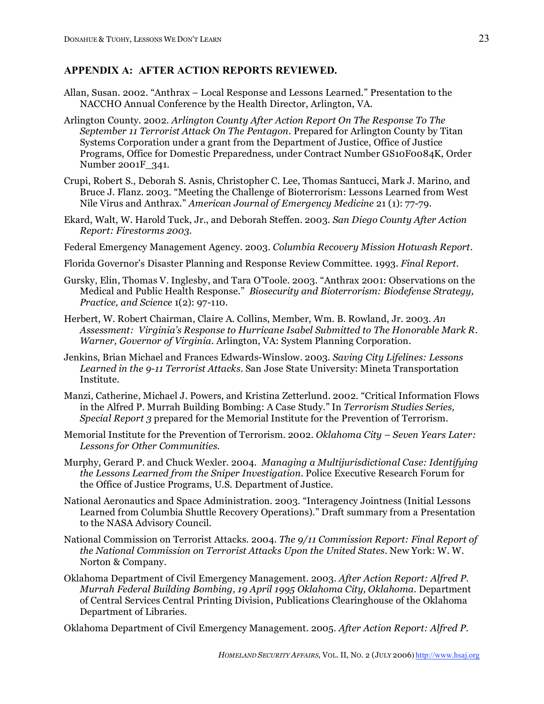# **APPENDIX A: AFTER ACTION REPORTS REVIEWED.**

- Allan, Susan. 2002. "Anthrax Local Response and Lessons Learned." Presentation to the NACCHO Annual Conference by the Health Director, Arlington, VA.
- Arlington County. 2002. *Arlington County After Action Report On The Response To The September 11 Terrorist Attack On The Pentagon*. Prepared for Arlington County by Titan Systems Corporation under a grant from the Department of Justice, Office of Justice Programs, Office for Domestic Preparedness, under Contract Number GS10F0084K, Order Number 2001F\_341.
- Crupi, Robert S., Deborah S. Asnis, Christopher C. Lee, Thomas Santucci, Mark J. Marino, and Bruce J. Flanz. 2003. "Meeting the Challenge of Bioterrorism: Lessons Learned from West Nile Virus and Anthrax." *American Journal of Emergency Medicine* 21 (1): 77-79.
- Ekard, Walt, W. Harold Tuck, Jr., and Deborah Steffen. 2003. *San Diego County After Action Report: Firestorms 2003*.
- Federal Emergency Management Agency. 2003. *Columbia Recovery Mission Hotwash Report*.
- Florida Governor's Disaster Planning and Response Review Committee. 1993. *Final Report*.
- Gursky, Elin, Thomas V. Inglesby, and Tara O'Toole. 2003. "Anthrax 2001: Observations on the Medical and Public Health Response." *Biosecurity and Bioterrorism: Biodefense Strategy, Practice, and Science* 1(2): 97-110.
- Herbert, W. Robert Chairman, Claire A. Collins, Member, Wm. B. Rowland, Jr. 2003. *An Assessment: Virginia's Response to Hurricane Isabel Submitted to The Honorable Mark R. Warner, Governor of Virginia.* Arlington, VA: System Planning Corporation.
- Jenkins, Brian Michael and Frances Edwards-Winslow. 2003. *Saving City Lifelines: Lessons Learned in the 9-11 Terrorist Attacks*. San Jose State University: Mineta Transportation Institute.
- Manzi, Catherine, Michael J. Powers, and Kristina Zetterlund. 2002. "Critical Information Flows in the Alfred P. Murrah Building Bombing: A Case Study." In *Terrorism Studies Series, Special Report 3* prepared for the Memorial Institute for the Prevention of Terrorism.
- Memorial Institute for the Prevention of Terrorism. 2002. *Oklahoma City – Seven Years Later: Lessons for Other Communities*.
- Murphy, Gerard P. and Chuck Wexler. 2004. *Managing a Multijurisdictional Case: Identifying the Lessons Learned from the Sniper Investigation*. Police Executive Research Forum for the Office of Justice Programs, U.S. Department of Justice.
- National Aeronautics and Space Administration. 2003. "Interagency Jointness (Initial Lessons Learned from Columbia Shuttle Recovery Operations)." Draft summary from a Presentation to the NASA Advisory Council.
- National Commission on Terrorist Attacks. 2004. *The 9/11 Commission Report: Final Report of the National Commission on Terrorist Attacks Upon the United States*. New York: W. W. Norton & Company.
- Oklahoma Department of Civil Emergency Management. 2003. *After Action Report: Alfred P. Murrah Federal Building Bombing, 19 April 1995 Oklahoma City, Oklahoma*. Department of Central Services Central Printing Division, Publications Clearinghouse of the Oklahoma Department of Libraries.

Oklahoma Department of Civil Emergency Management. 2005. *After Action Report: Alfred P.*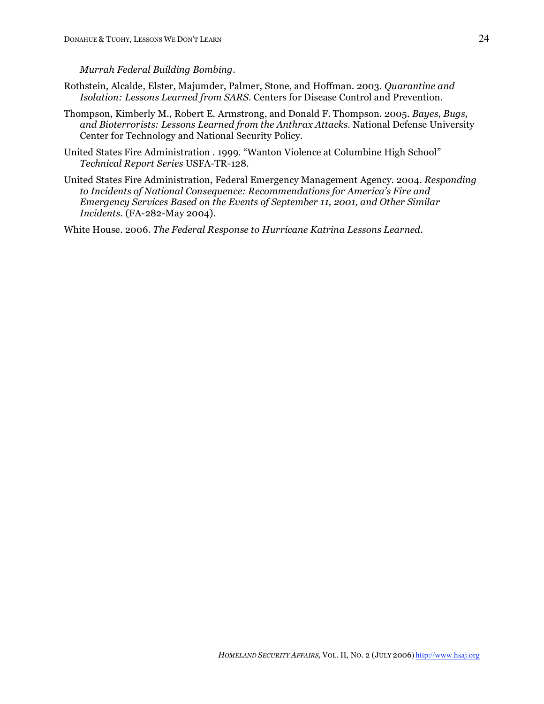#### *Murrah Federal Building Bombing*.

- Rothstein, Alcalde, Elster, Majumder, Palmer, Stone, and Hoffman. 2003. *Quarantine and Isolation: Lessons Learned from SARS*. Centers for Disease Control and Prevention.
- Thompson, Kimberly M., Robert E. Armstrong, and Donald F. Thompson. 2005. *Bayes, Bugs, and Bioterrorists: Lessons Learned from the Anthrax Attacks*. National Defense University Center for Technology and National Security Policy.
- United States Fire Administration . 1999. "Wanton Violence at Columbine High School" *Technical Report Series* USFA-TR-128.
- United States Fire Administration, Federal Emergency Management Agency. 2004. *Responding to Incidents of National Consequence: Recommendations for America's Fire and Emergency Services Based on the Events of September 11, 2001, and Other Similar Incidents*. (FA-282-May 2004).

White House. 2006. *The Federal Response to Hurricane Katrina Lessons Learned*.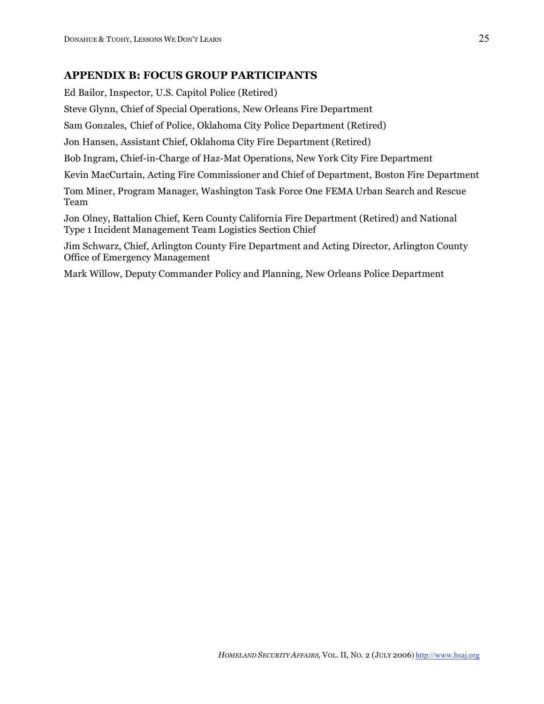# **APPENDIX B: FOCUS GROUP PARTICIPANTS**

Ed Bailor, Inspector, U.S. Capitol Police (Retired) Steve Glynn, Chief of Special Operations, New Orleans Fire Department Sam Gonzales, Chief of Police, Oklahoma City Police Department (Retired) Jon Hansen, Assistant Chief, Oklahoma City Fire Department (Retired) Bob Ingram, Chief-in-Charge of Haz-Mat Operations, New York City Fire Department Kevin MacCurtain, Acting Fire Commissioner and Chief of Department, Boston Fire Department Tom Miner, Program Manager, Washington Task Force One FEMA Urban Search and Rescue Team Jon Olney, Battalion Chief, Kern County California Fire Department (Retired) and National Type 1 Incident Management Team Logistics Section Chief

Jim Schwarz, Chief, Arlington County Fire Department and Acting Director, Arlington County Office of Emergency Management

Mark Willow, Deputy Commander Policy and Planning, New Orleans Police Department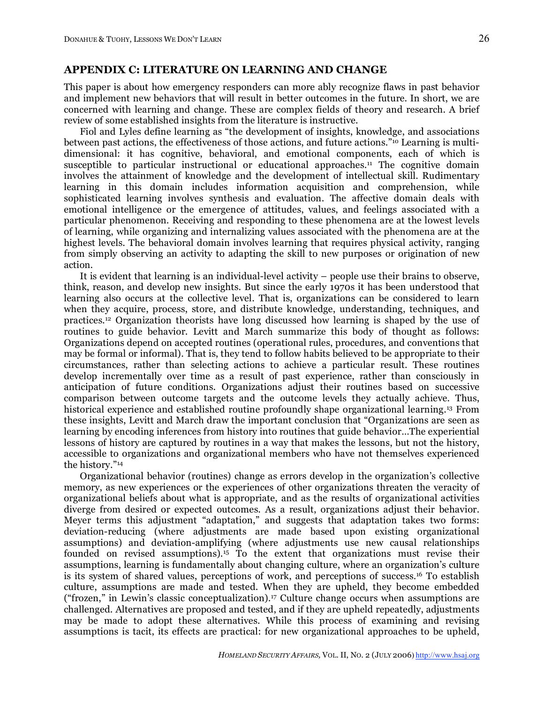### **APPENDIX C: LITERATURE ON LEARNING AND CHANGE**

This paper is about how emergency responders can more ably recognize flaws in past behavior and implement new behaviors that will result in better outcomes in the future. In short, we are concerned with learning and change. These are complex fields of theory and research. A brief review of some established insights from the literature is instructive.

Fiol and Lyles define learning as "the development of insights, knowledge, and associations between past actions, the effectiveness of those actions, and future actions."10 Learning is multidimensional: it has cognitive, behavioral, and emotional components, each of which is susceptible to particular instructional or educational approaches. <sup>11</sup> The cognitive domain involves the attainment of knowledge and the development of intellectual skill. Rudimentary learning in this domain includes information acquisition and comprehension, while sophisticated learning involves synthesis and evaluation. The affective domain deals with emotional intelligence or the emergence of attitudes, values, and feelings associated with a particular phenomenon. Receiving and responding to these phenomena are at the lowest levels of learning, while organizing and internalizing values associated with the phenomena are at the highest levels. The behavioral domain involves learning that requires physical activity, ranging from simply observing an activity to adapting the skill to new purposes or origination of new action.

It is evident that learning is an individual-level activity – people use their brains to observe, think, reason, and develop new insights. But since the early 1970s it has been understood that learning also occurs at the collective level. That is, organizations can be considered to learn when they acquire, process, store, and distribute knowledge, understanding, techniques, and practices. <sup>12</sup> Organization theorists have long discussed how learning is shaped by the use of routines to guide behavior. Levitt and March summarize this body of thought as follows: Organizations depend on accepted routines (operational rules, procedures, and conventions that may be formal or informal). That is, they tend to follow habits believed to be appropriate to their circumstances, rather than selecting actions to achieve a particular result. These routines develop incrementally over time as a result of past experience, rather than consciously in anticipation of future conditions. Organizations adjust their routines based on successive comparison between outcome targets and the outcome levels they actually achieve. Thus, historical experience and established routine profoundly shape organizational learning.<sup>13</sup> From these insights, Levitt and March draw the important conclusion that "Organizations are seen as learning by encoding inferences from history into routines that guide behavior…The experiential lessons of history are captured by routines in a way that makes the lessons, but not the history, accessible to organizations and organizational members who have not themselves experienced the history."14

Organizational behavior (routines) change as errors develop in the organization's collective memory, as new experiences or the experiences of other organizations threaten the veracity of organizational beliefs about what is appropriate, and as the results of organizational activities diverge from desired or expected outcomes. As a result, organizations adjust their behavior. Meyer terms this adjustment "adaptation," and suggests that adaptation takes two forms: deviation-reducing (where adjustments are made based upon existing organizational assumptions) and deviation-amplifying (where adjustments use new causal relationships founded on revised assumptions).15 To the extent that organizations must revise their assumptions, learning is fundamentally about changing culture, where an organization's culture is its system of shared values, perceptions of work, and perceptions of success.16 To establish culture, assumptions are made and tested. When they are upheld, they become embedded ("frozen," in Lewin's classic conceptualization).17 Culture change occurs when assumptions are challenged. Alternatives are proposed and tested, and if they are upheld repeatedly, adjustments may be made to adopt these alternatives. While this process of examining and revising assumptions is tacit, its effects are practical: for new organizational approaches to be upheld,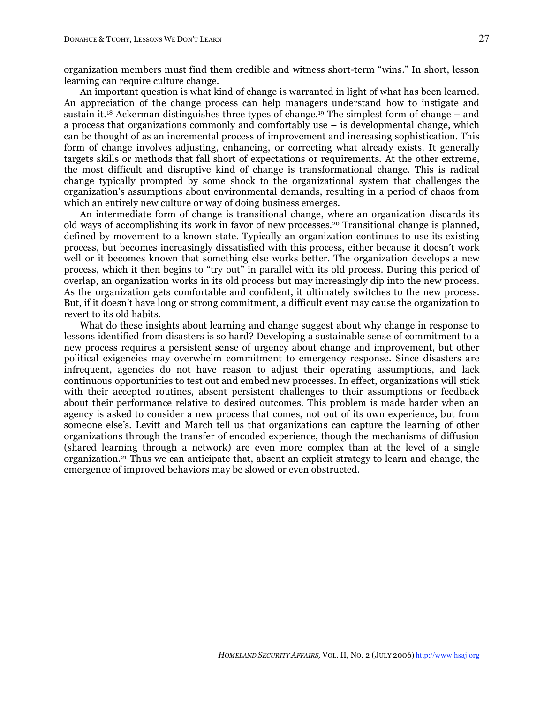organization members must find them credible and witness short-term "wins." In short, lesson learning can require culture change.

An important question is what kind of change is warranted in light of what has been learned. An appreciation of the change process can help managers understand how to instigate and sustain it. <sup>18</sup> Ackerman distinguishes three types of change. <sup>19</sup> The simplest form of change – and a process that organizations commonly and comfortably use – is developmental change, which can be thought of as an incremental process of improvement and increasing sophistication. This form of change involves adjusting, enhancing, or correcting what already exists. It generally targets skills or methods that fall short of expectations or requirements. At the other extreme, the most difficult and disruptive kind of change is transformational change. This is radical change typically prompted by some shock to the organizational system that challenges the organization's assumptions about environmental demands, resulting in a period of chaos from which an entirely new culture or way of doing business emerges.

An intermediate form of change is transitional change, where an organization discards its old ways of accomplishing its work in favor of new processes.20 Transitional change is planned, defined by movement to a known state. Typically an organization continues to use its existing process, but becomes increasingly dissatisfied with this process, either because it doesn't work well or it becomes known that something else works better. The organization develops a new process, which it then begins to "try out" in parallel with its old process. During this period of overlap, an organization works in its old process but may increasingly dip into the new process. As the organization gets comfortable and confident, it ultimately switches to the new process. But, if it doesn't have long or strong commitment, a difficult event may cause the organization to revert to its old habits.

What do these insights about learning and change suggest about why change in response to lessons identified from disasters is so hard? Developing a sustainable sense of commitment to a new process requires a persistent sense of urgency about change and improvement, but other political exigencies may overwhelm commitment to emergency response. Since disasters are infrequent, agencies do not have reason to adjust their operating assumptions, and lack continuous opportunities to test out and embed new processes. In effect, organizations will stick with their accepted routines, absent persistent challenges to their assumptions or feedback about their performance relative to desired outcomes. This problem is made harder when an agency is asked to consider a new process that comes, not out of its own experience, but from someone else's. Levitt and March tell us that organizations can capture the learning of other organizations through the transfer of encoded experience, though the mechanisms of diffusion (shared learning through a network) are even more complex than at the level of a single organization.21 Thus we can anticipate that, absent an explicit strategy to learn and change, the emergence of improved behaviors may be slowed or even obstructed.